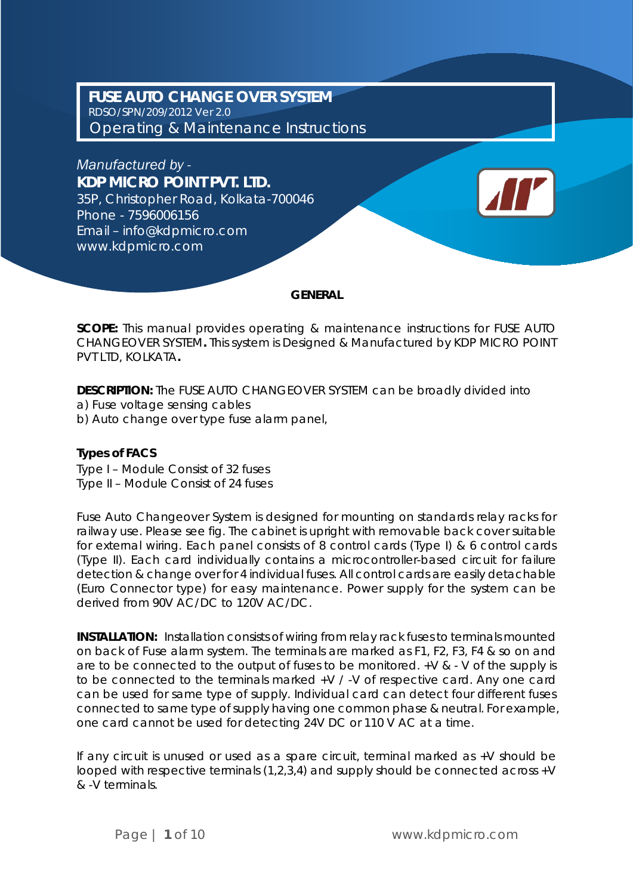**FUSE AUTO CHANGE OVER SYSTEM** RDSO/SPN/209/2012 Ver 2.0 *Operating & Maintenance Instructions*

*Manufactured by -* **KDP MICRO POINT PVT. LTD.**

35P, Christopher Road, Kolkata-700046 Phone - 7596006156 Email – info@kdpmicro.com www.kdpmicro.com

### **GENERAL**

**SCOPE:** This manual provides operating & maintenance instructions for FUSE AUTO CHANGEOVER SYSTEM**.** This system is Designed & Manufactured by KDP MICRO POINT PVT LTD, KOLKATA**.**

**DESCRIPTION:** The FUSE AUTO CHANGEOVER SYSTEM can be broadly divided into a) Fuse voltage sensing cables

b) Auto change over type fuse alarm panel,

### **Types of FACS**

Type I – Module Consist of 32 fuses Type II – Module Consist of 24 fuses

Fuse Auto Changeover System is designed for mounting on standards relay racks for railway use. Please see fig. The cabinet is upright with removable back cover suitable for external wiring. Each panel consists of 8 control cards (Type I) & 6 control cards (Type II). Each card individually contains a microcontroller-based circuit for failure detection & change over for 4 individual fuses. All control cards are easily detachable (Euro Connector type) for easy maintenance. Power supply for the system can be derived from 90V AC/DC to 120V AC/DC.

**INSTALLATION:** Installation consists of wiring from relay rack fuses to terminals mounted on back of Fuse alarm system. The terminals are marked as F1, F2, F3, F4 & so on and are to be connected to the output of fuses to be monitored. +V & - V of the supply is to be connected to the terminals marked +V / -V of respective card. Any one card can be used for same type of supply. Individual card can detect four different fuses connected to same type of supply having one common phase & neutral. For example, one card cannot be used for detecting 24V DC or 110 V AC at a time.

If any circuit is unused or used as a spare circuit, terminal marked as +V should be looped with respective terminals (1,2,3,4) and supply should be connected across +V & -V terminals.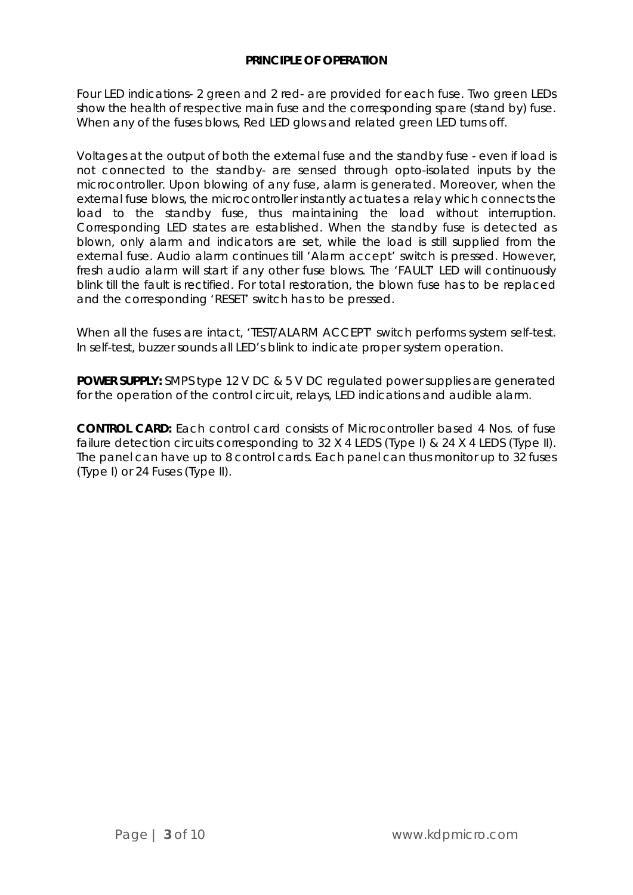### **PRINCIPLE OF OPERATION**

Four LED indications- 2 green and 2 red- are provided for each fuse. Two green LEDs show the health of respective main fuse and the corresponding spare (stand by) fuse. When any of the fuses blows, Red LED glows and related green LED turns off.

Voltages at the output of both the external fuse and the standby fuse - even if load is not connected to the standby- are sensed through opto-isolated inputs by the microcontroller. Upon blowing of any fuse, alarm is generated. Moreover, when the external fuse blows, the microcontroller instantly actuates a relay which connects the load to the standby fuse, thus maintaining the load without interruption. Corresponding LED states are established. When the standby fuse is detected as blown, only alarm and indicators are set, while the load is still supplied from the external fuse. Audio alarm continues till 'Alarm accept' switch is pressed. However, fresh audio alarm will start if any other fuse blows. The 'FAULT' LED will continuously blink till the fault is rectified. For total restoration, the blown fuse has to be replaced and the corresponding 'RESET' switch has to be pressed.

When all the fuses are intact, 'TEST/ALARM ACCEPT' switch performs system self-test. In self-test, buzzer sounds all LED's blink to indicate proper system operation.

**POWER SUPPLY:** SMPS type 12 V DC & 5 V DC regulated power supplies are generated for the operation of the control circuit, relays, LED indications and audible alarm.

**CONTROL CARD:** Each control card consists of Microcontroller based 4 Nos. of fuse failure detection circuits corresponding to 32 X 4 LEDS (Type I) & 24 X 4 LEDS (Type II). The panel can have up to 8 control cards. Each panel can thus monitor up to 32 fuses (Type I) or 24 Fuses (Type II).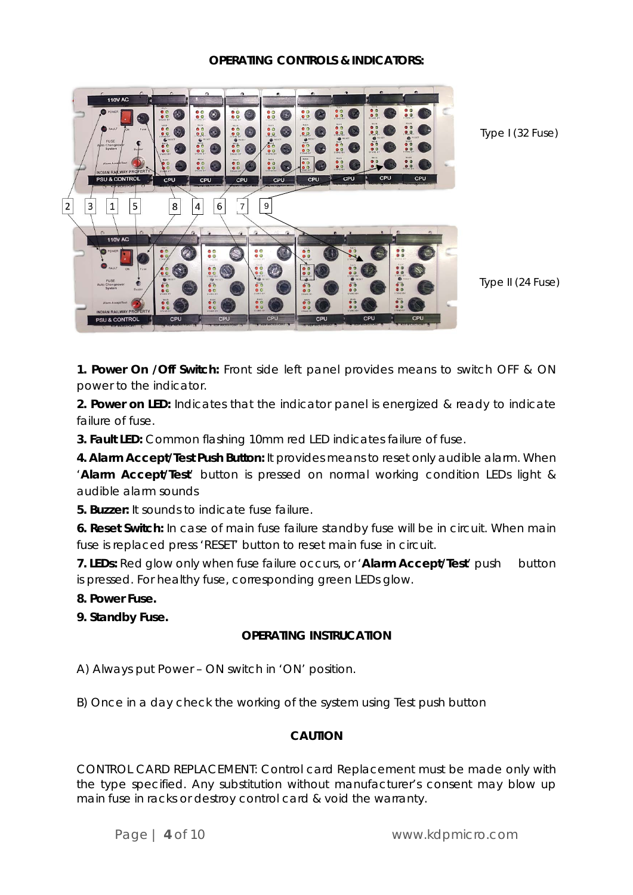### **OPERATING CONTROLS & INDICATORS:**



Type I (32 Fuse)

Type II (24 Fuse)

**1. Power On /Off Switch:** Front side left panel provides means to switch OFF & ON power to the indicator.

**2. Power on LED:** Indicates that the indicator panel is energized & ready to indicate failure of fuse.

**3. Fault LED:** Common flashing 10mm red LED indicates failure of fuse.

**4. Alarm Accept/Test Push Button:** It provides means to reset only audible alarm. When '**Alarm Accept/Test**' button is pressed on normal working condition LEDs light & audible alarm sounds

**5. Buzzer:** It sounds to indicate fuse failure.

**6. Reset Switch:** In case of main fuse failure standby fuse will be in circuit. When main fuse is replaced press 'RESET' button to reset main fuse in circuit.

**7. LEDs:** Red glow only when fuse failure occurs, or 'Alarm Accept/Test' push button is pressed. For healthy fuse, corresponding green LEDs glow.

**8. Power Fuse.**

**9. Standby Fuse.**

## **OPERATING INSTRUCATION**

A) Always put Power – ON switch in 'ON' position.

B) Once in a day check the working of the system using Test push button

### **CAUTION**

CONTROL CARD REPLACEMENT: Control card Replacement must be made only with the type specified. Any substitution without manufacturer's consent may blow up main fuse in racks or destroy control card & void the warranty.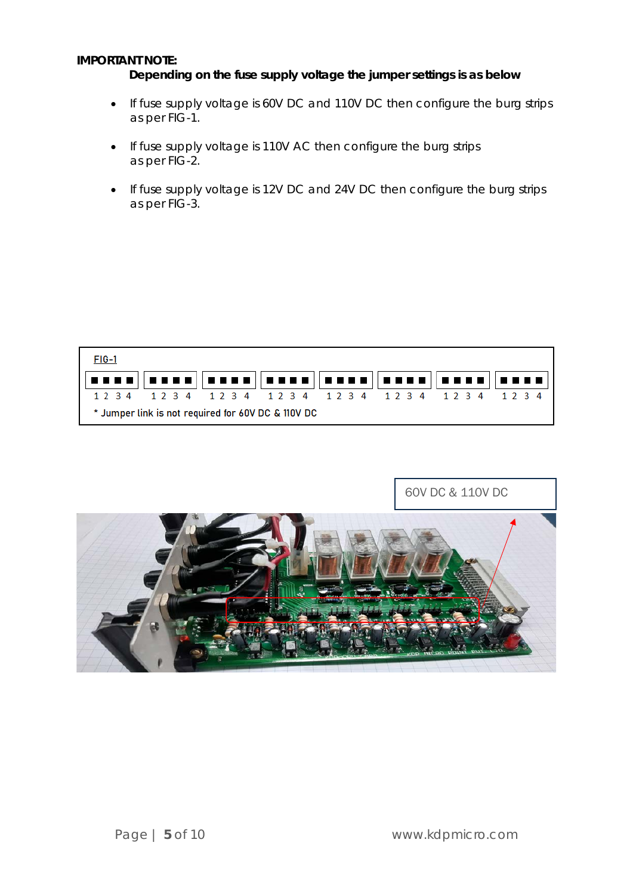### **IMPORTANT NOTE:**

### **Depending on the fuse supply voltage the jumper settings is as below**

- If fuse supply voltage is 60V DC and 110V DC then configure the burg strips as per FIG-1.
- If fuse supply voltage is 110V AC then configure the burg strips as per FIG-2.
- If fuse supply voltage is 12V DC and 24V DC then configure the burg strips as per FIG-3.

| $FIG-1$                                                                                                                                             |  |  |  |  |  |  |  |  |  |  |  |  |
|-----------------------------------------------------------------------------------------------------------------------------------------------------|--|--|--|--|--|--|--|--|--|--|--|--|
| <u>   = = = =    = = = =    = = = =    = = = = =    = = = =    = = = =    = = = =   </u><br>1 2 3 4 1 2 3 4 1 2 3 4 1 2 3 4 1 2 3 4 1 2 3 4 1 2 3 4 |  |  |  |  |  |  |  |  |  |  |  |  |
| * Jumper link is not required for 60V DC & 110V DC                                                                                                  |  |  |  |  |  |  |  |  |  |  |  |  |

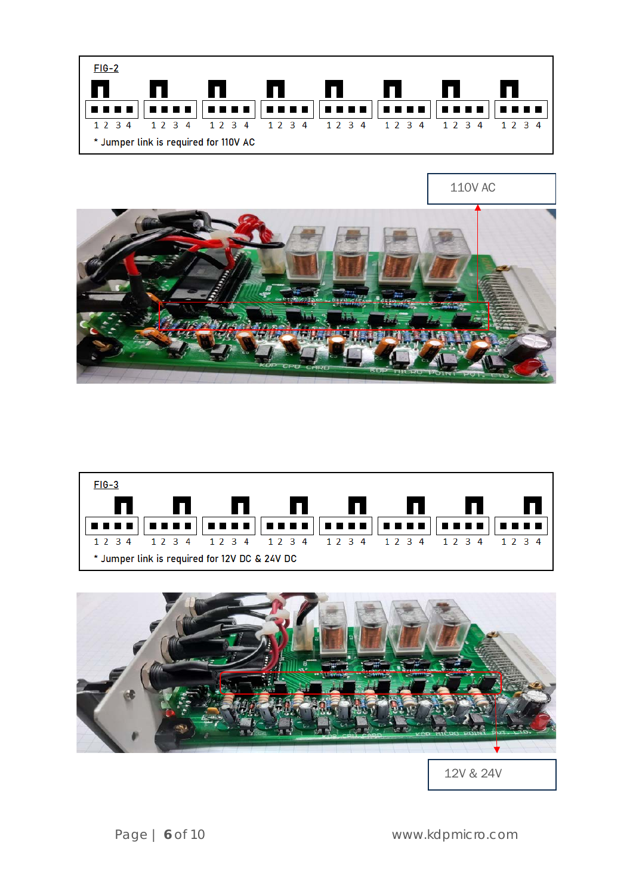







12V & 24V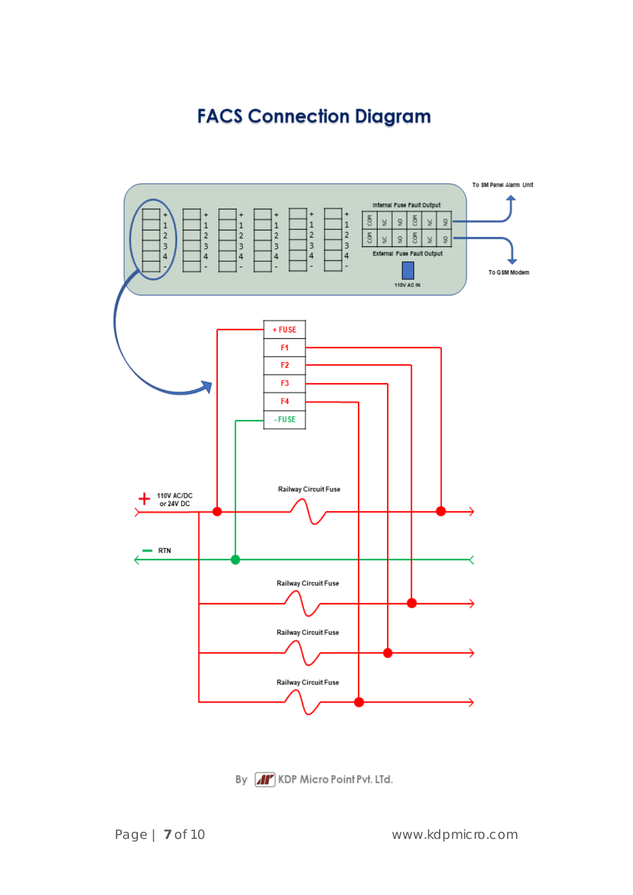# **FACS Connection Diagram**

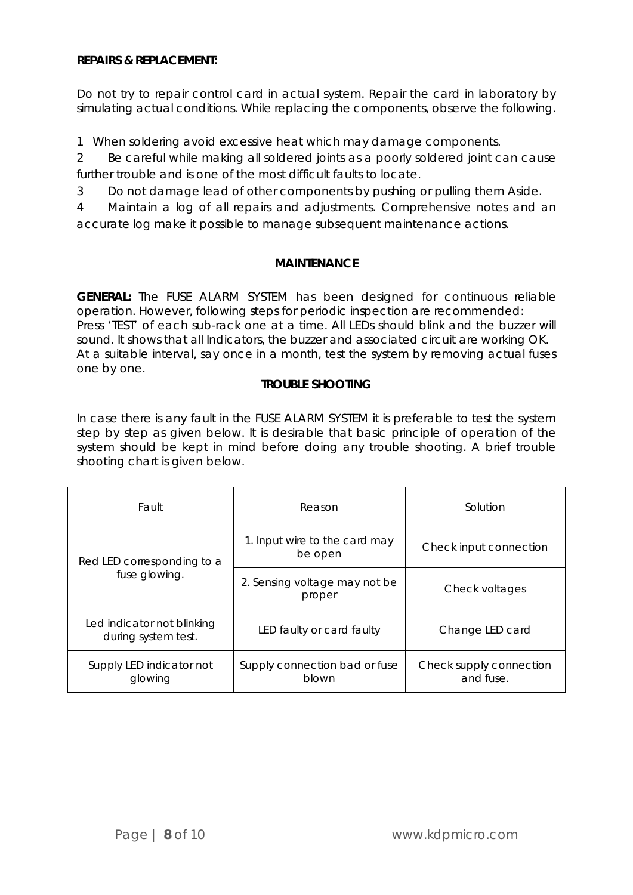### **REPAIRS & REPLACEMENT:**

Do not try to repair control card in actual system. Repair the card in laboratory by simulating actual conditions. While replacing the components, observe the following.

1 When soldering avoid excessive heat which may damage components.

2 Be careful while making all soldered joints as a poorly soldered joint can cause further trouble and is one of the most difficult faults to locate.

3 Do not damage lead of other components by pushing or pulling them Aside.

4 Maintain a log of all repairs and adjustments. Comprehensive notes and an accurate log make it possible to manage subsequent maintenance actions.

### **MAINTENANCE**

**GENERAL:** The FUSE ALARM SYSTEM has been designed for continuous reliable operation. However, following steps for periodic inspection are recommended: Press 'TEST' of each sub-rack one at a time. All LEDs should blink and the buzzer will sound. It shows that all Indicators, the buzzer and associated circuit are working OK. At a suitable interval, say once in a month, test the system by removing actual fuses one by one.

## **TROUBLE SHOOTING**

In case there is any fault in the FUSE ALARM SYSTEM it is preferable to test the system step by step as given below. It is desirable that basic principle of operation of the system should be kept in mind before doing any trouble shooting. A brief trouble shooting chart is given below.

| Fault                                             | Reason                                   | Solution                             |  |  |  |  |
|---------------------------------------------------|------------------------------------------|--------------------------------------|--|--|--|--|
| Red LED corresponding to a                        | 1. Input wire to the card may<br>be open | Check input connection               |  |  |  |  |
| fuse glowing.                                     | 2. Sensing voltage may not be<br>proper  | Check voltages                       |  |  |  |  |
| Led indicator not blinking<br>during system test. | LED faulty or card faulty                | Change LED card                      |  |  |  |  |
| Supply LED indicator not<br>glowing               | Supply connection bad or fuse<br>blown   | Check supply connection<br>and fuse. |  |  |  |  |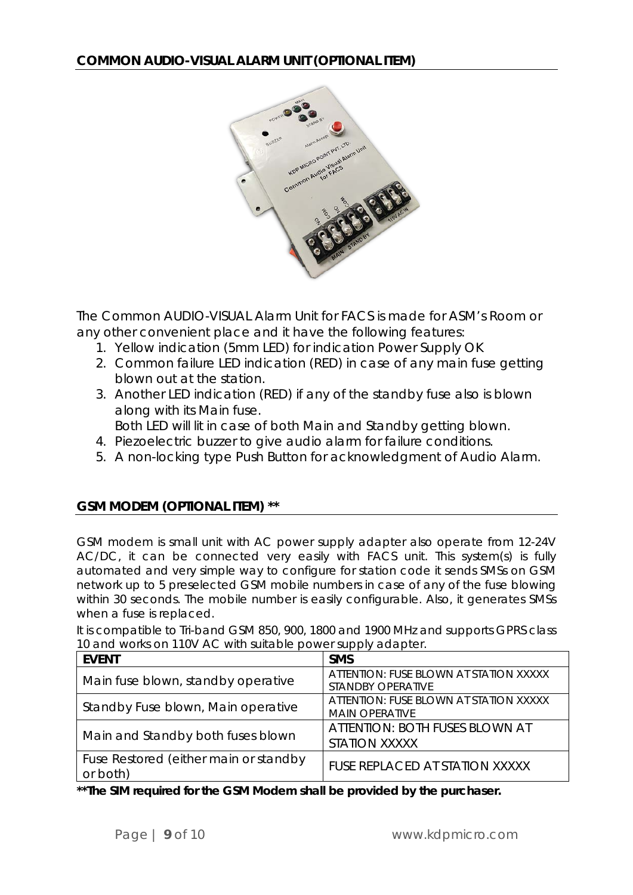

The Common AUDIO-VISUAL Alarm Unit for FACS is made for ASM's Room or any other convenient place and it have the following features:

- 1. Yellow indication (5mm LED) for indication Power Supply OK
- 2. Common failure LED indication (RED) in case of any main fuse getting blown out at the station.
- 3. Another LED indication (RED) if any of the standby fuse also is blown along with its Main fuse.
- Both LED will lit in case of both Main and Standby getting blown.
- 4. Piezoelectric buzzer to give audio alarm for failure conditions.
- 5. A non-locking type Push Button for acknowledgment of Audio Alarm.

# **GSM MODEM (OPTIONAL ITEM) \*\***

GSM modem is small unit with AC power supply adapter also operate from 12-24V AC/DC, it can be connected very easily with FACS unit. This system(s) is fully automated and very simple way to configure for station code it sends SMSs on GSM network up to 5 preselected GSM mobile numbers in case of any of the fuse blowing within 30 seconds. The mobile number is easily configurable. Also, it generates SMSs when a fuse is replaced.

| 10 and works on 110V AC with suitable power supply adapter. |                                                                 |  |  |  |  |  |  |  |
|-------------------------------------------------------------|-----------------------------------------------------------------|--|--|--|--|--|--|--|
| <b>EVENT</b>                                                | <b>SMS</b>                                                      |  |  |  |  |  |  |  |
| Main fuse blown, standby operative                          | ATTENTION: FUSE BLOWN AT STATION XXXXX<br>STANDBY OPERATIVE     |  |  |  |  |  |  |  |
| Standby Fuse blown, Main operative                          | ATTENTION: FUSE BLOWN AT STATION XXXXX<br><b>MAIN OPERATIVE</b> |  |  |  |  |  |  |  |
| Main and Standby both fuses blown                           | ATTENTION: BOTH FUSES BLOWN AT<br><b>STATION XXXXX</b>          |  |  |  |  |  |  |  |
| Fuse Restored (either main or standby<br>or both)           | FUSE REPLACED AT STATION XXXXX                                  |  |  |  |  |  |  |  |

It is compatible to Tri-band GSM 850, 900, 1800 and 1900 MHz and supports GPRS class 10 and works on 110V AC with suitable power supply adapter.

*\*\*The SIM required for the GSM Modem shall be provided by the purchaser.*